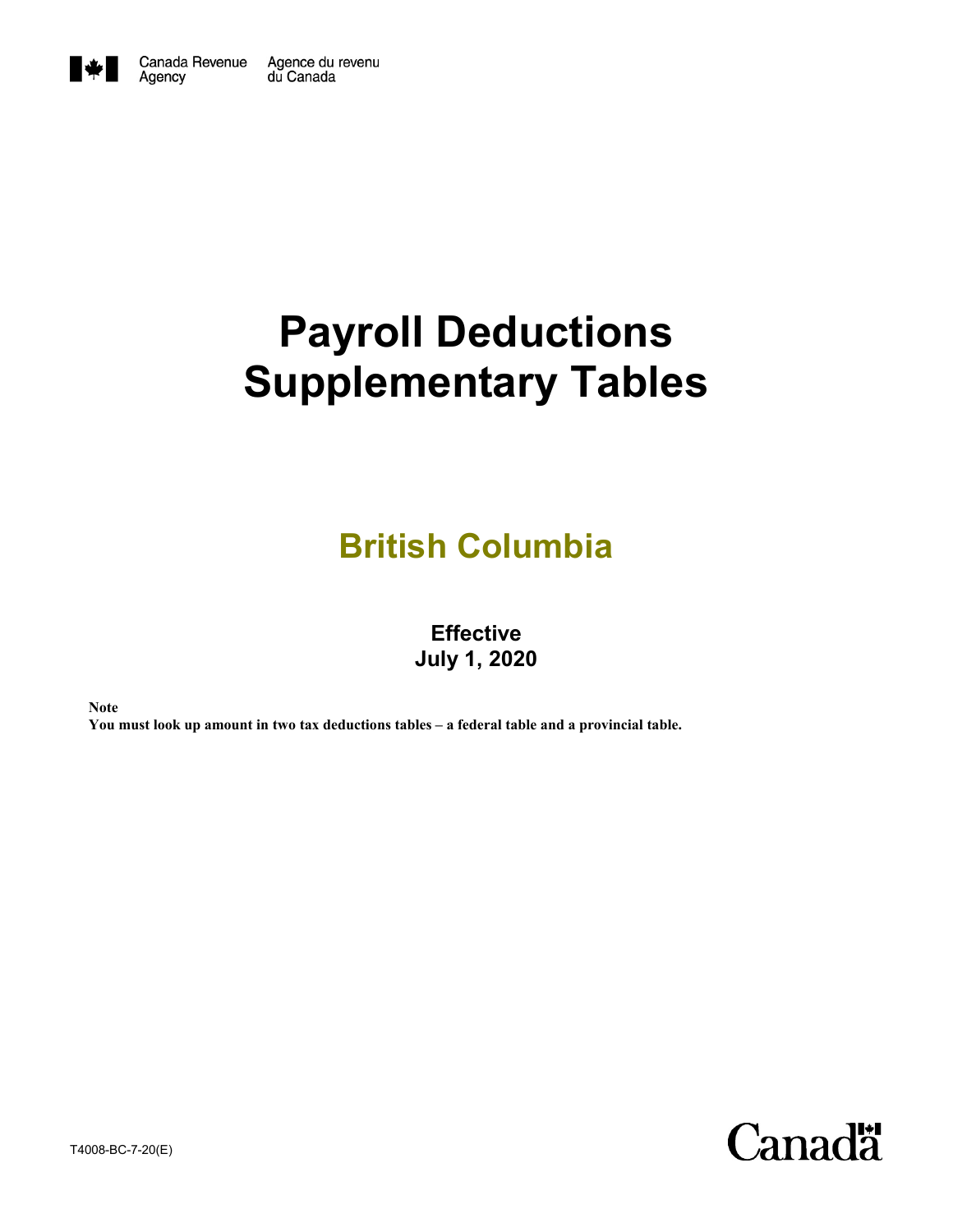

Agency

# **Payroll Deductions Supplementary Tables**

## **British Columbia**

### **Effective July 1, 2020**

**Note**

**You must look up amount in two tax deductions tables – a federal table and a provincial table.**

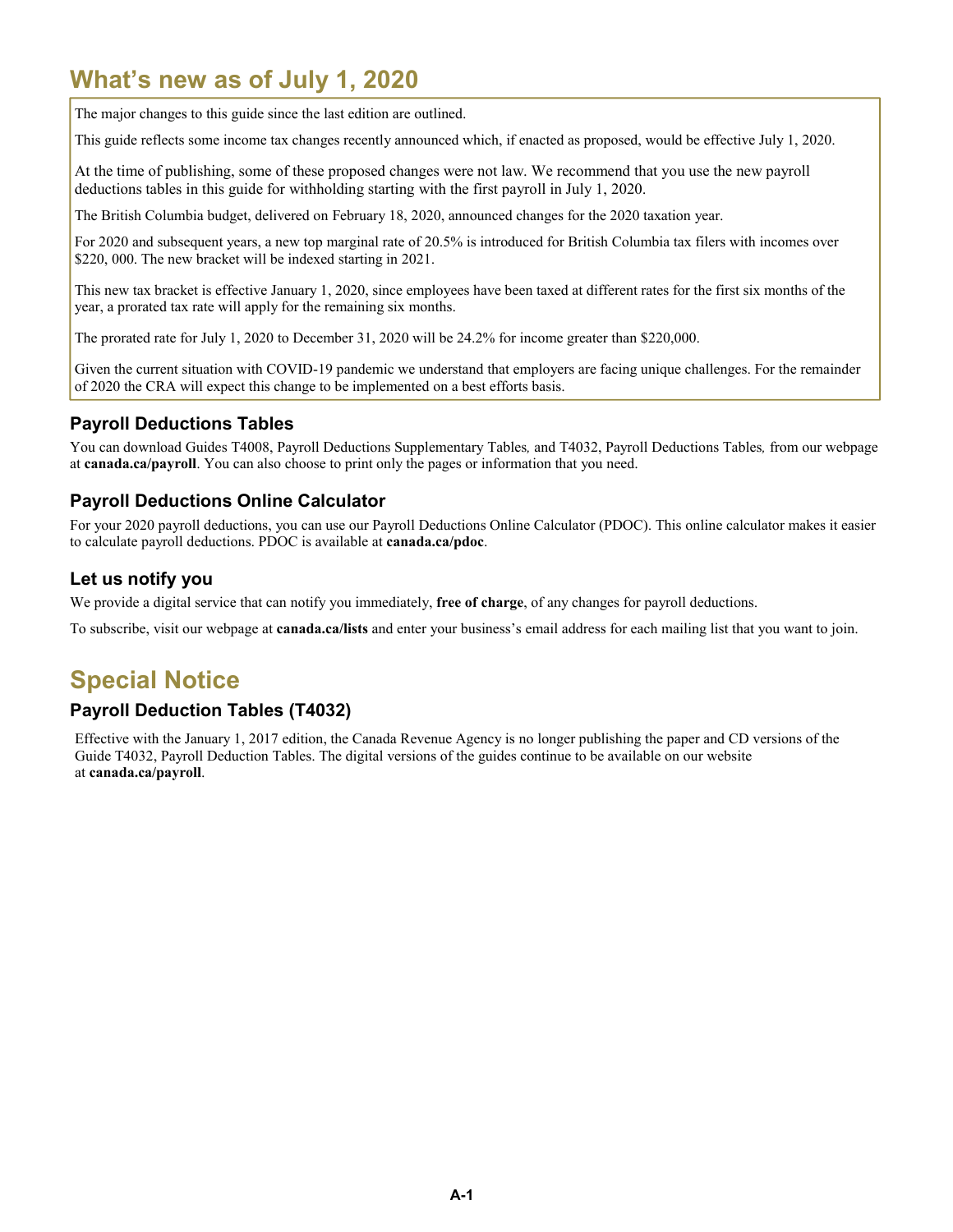## **What's new as of July 1, 2020**

The major changes to this guide since the last edition are outlined.

This guide reflects some income tax changes recently announced which, if enacted as proposed, would be effective July 1, 2020.

At the time of publishing, some of these proposed changes were not law. We recommend that you use the new payroll deductions tables in this guide for withholding starting with the first payroll in July 1, 2020.

The British Columbia budget, delivered on February 18, 2020, announced changes for the 2020 taxation year.

For 2020 and subsequent years, a new top marginal rate of 20.5% is introduced for British Columbia tax filers with incomes over \$220, 000. The new bracket will be indexed starting in 2021.

This new tax bracket is effective January 1, 2020, since employees have been taxed at different rates for the first six months of the year, a prorated tax rate will apply for the remaining six months.

The prorated rate for July 1, 2020 to December 31, 2020 will be 24.2% for income greater than \$220,000.

Given the current situation with COVID-19 pandemic we understand that employers are facing unique challenges. For the remainder of 2020 the CRA will expect this change to be implemented on a best efforts basis.

#### **Payroll Deductions Tables**

You can download Guides T4008, Payroll Deductions Supplementary Tables*,* and T4032, Payroll Deductions Tables*,* from our webpage at **canada.ca/payroll**. You can also choose to print only the pages or information that you need.

#### **Payroll Deductions Online Calculator**

For your 2020 payroll deductions, you can use our Payroll Deductions Online Calculator (PDOC). This online calculator makes it easier to calculate payroll deductions. PDOC is available at **canada.ca/pdoc**.

#### **Let us notify you**

We provide a digital service that can notify you immediately, **free of charge**, of any changes for payroll deductions.

To subscribe, visit our webpage at **canada.ca/lists** and enter your business's email address for each mailing list that you want to join.

## **Special Notice**

#### **Payroll Deduction Tables (T4032)**

Effective with the January 1, 2017 edition, the Canada Revenue Agency is no longer publishing the paper and CD versions of the Guide T4032, Payroll Deduction Tables. The digital versions of the guides continue to be available on our website at **canada.ca/payroll**.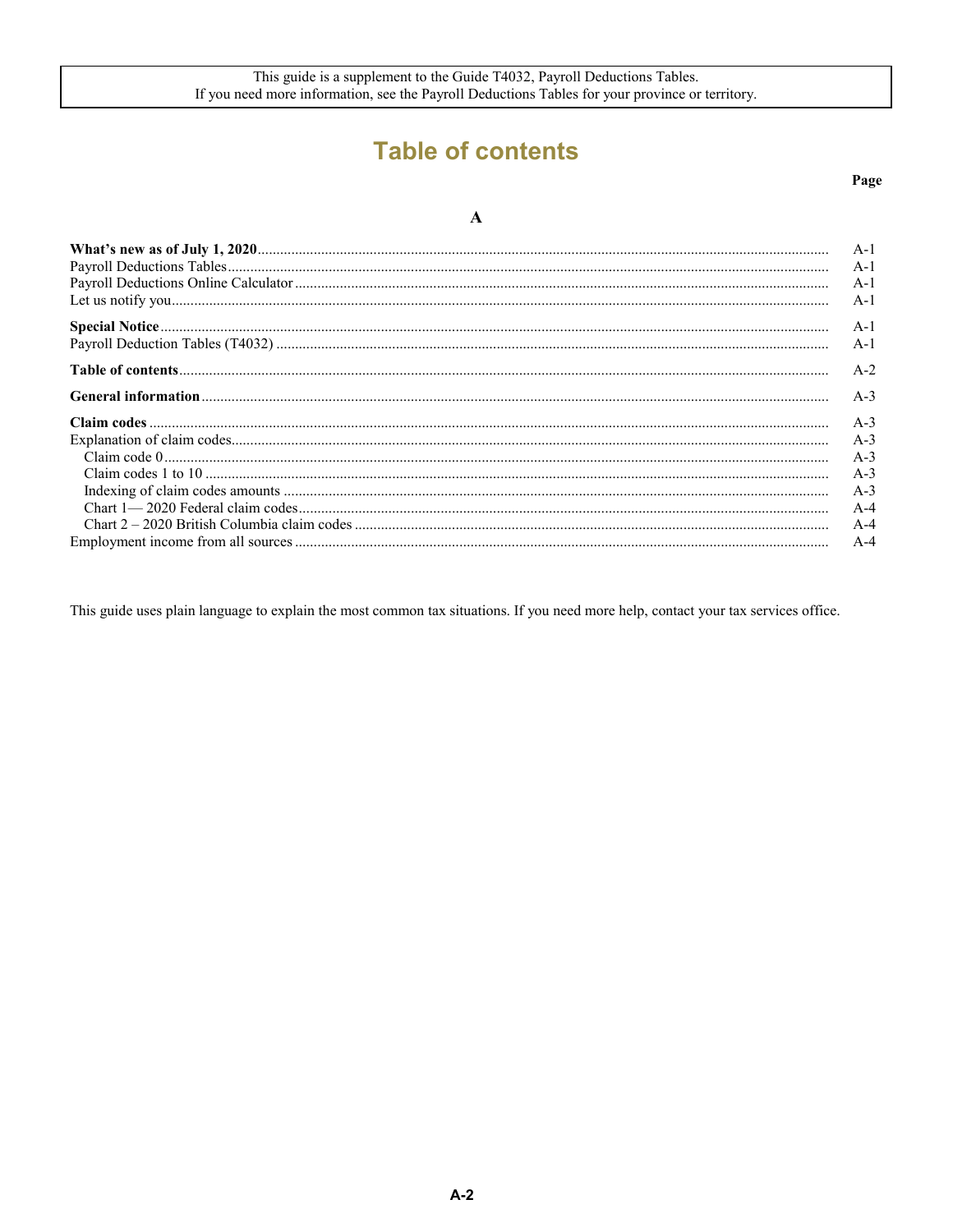## **Table of contents**

#### Page

#### $\boldsymbol{\rm{A}}$

|                                                    | A-1<br>$A-1$<br>$A-1$<br>$A-1$ |
|----------------------------------------------------|--------------------------------|
|                                                    | $A-1$                          |
|                                                    | $A-1$                          |
|                                                    | $A-2$                          |
|                                                    | $A-3$                          |
|                                                    | $A-3$                          |
|                                                    | $A-3$                          |
| $Claim code 0\\ \label{f:1} Claim codes 1 to 10\\$ | $A-3$                          |
|                                                    | $A-3$                          |
|                                                    | $A-3$                          |
|                                                    | $A-4$                          |
|                                                    | $A-4$                          |
|                                                    | $A-4$                          |

This guide uses plain language to explain the most common tax situations. If you need more help, contact your tax services office.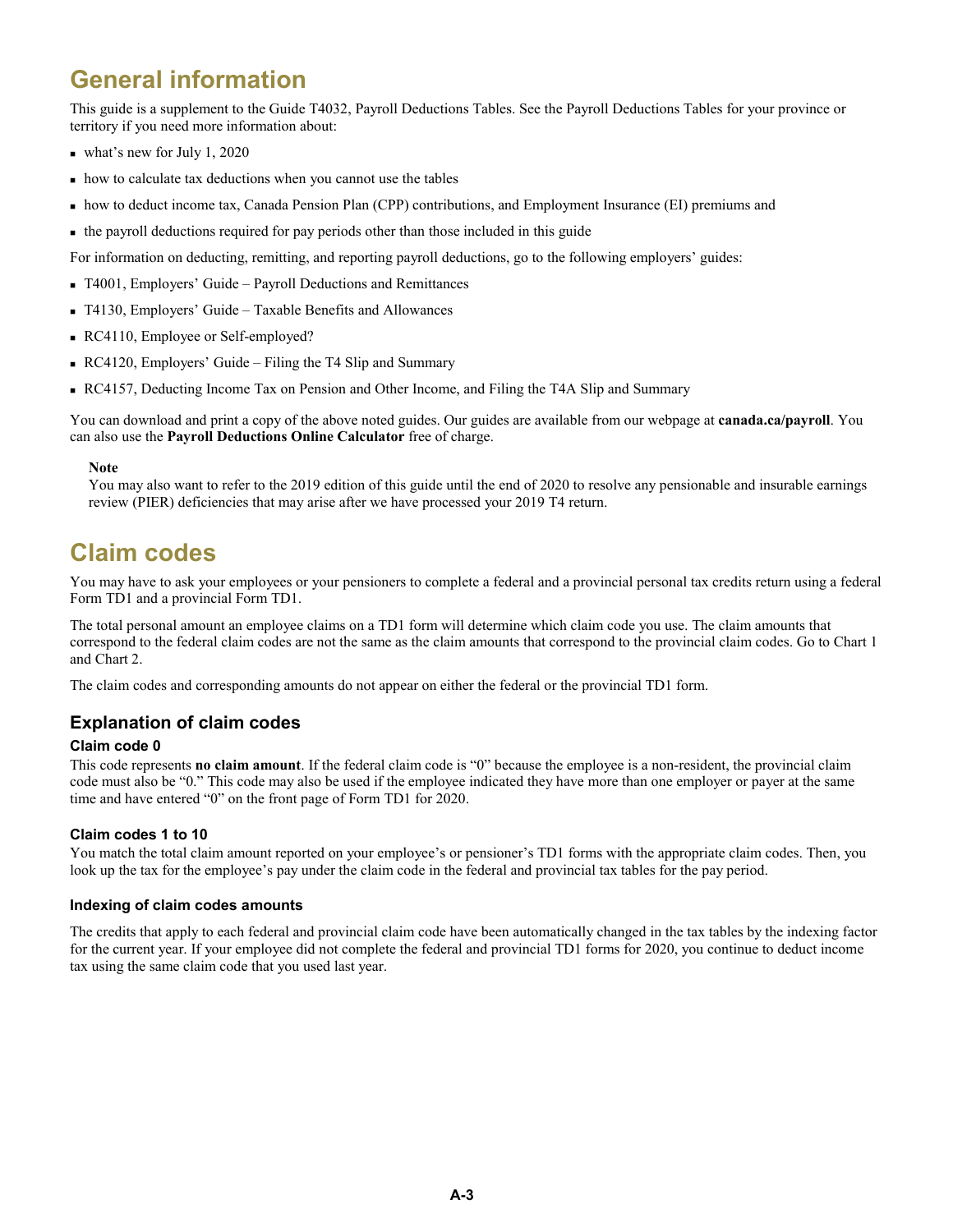## **General information**

This guide is a supplement to the Guide T4032, Payroll Deductions Tables. See the Payroll Deductions Tables for your province or territory if you need more information about:

- what's new for July 1, 2020
- how to calculate tax deductions when you cannot use the tables
- how to deduct income tax, Canada Pension Plan (CPP) contributions, and Employment Insurance (EI) premiums and
- the payroll deductions required for pay periods other than those included in this guide

For information on deducting, remitting, and reporting payroll deductions, go to the following employers' guides:

- T4001, Employers' Guide Payroll Deductions and Remittances
- T4130, Employers' Guide Taxable Benefits and Allowances
- RC4110, Employee or Self-employed?
- RC4120, Employers' Guide Filing the T4 Slip and Summary
- RC4157, Deducting Income Tax on Pension and Other Income, and Filing the T4A Slip and Summary

You can download and print a copy of the above noted guides. Our guides are available from our webpage at **canada.ca/payroll**. You can also use the **Payroll Deductions Online Calculator** free of charge.

#### **Note**

You may also want to refer to the 2019 edition of this guide until the end of 2020 to resolve any pensionable and insurable earnings review (PIER) deficiencies that may arise after we have processed your 2019 T4 return.

## **Claim codes**

You may have to ask your employees or your pensioners to complete a federal and a provincial personal tax credits return using a federal Form TD1 and a provincial Form TD1.

The total personal amount an employee claims on a TD1 form will determine which claim code you use. The claim amounts that correspond to the federal claim codes are not the same as the claim amounts that correspond to the provincial claim codes. Go to Chart 1 and Chart 2.

The claim codes and corresponding amounts do not appear on either the federal or the provincial TD1 form.

#### **Explanation of claim codes**

#### **Claim code 0**

This code represents **no claim amount**. If the federal claim code is "0" because the employee is a non-resident, the provincial claim code must also be "0." This code may also be used if the employee indicated they have more than one employer or payer at the same time and have entered "0" on the front page of Form TD1 for 2020.

#### **Claim codes 1 to 10**

You match the total claim amount reported on your employee's or pensioner's TD1 forms with the appropriate claim codes. Then, you look up the tax for the employee's pay under the claim code in the federal and provincial tax tables for the pay period.

#### **Indexing of claim codes amounts**

The credits that apply to each federal and provincial claim code have been automatically changed in the tax tables by the indexing factor for the current year. If your employee did not complete the federal and provincial TD1 forms for 2020, you continue to deduct income tax using the same claim code that you used last year.